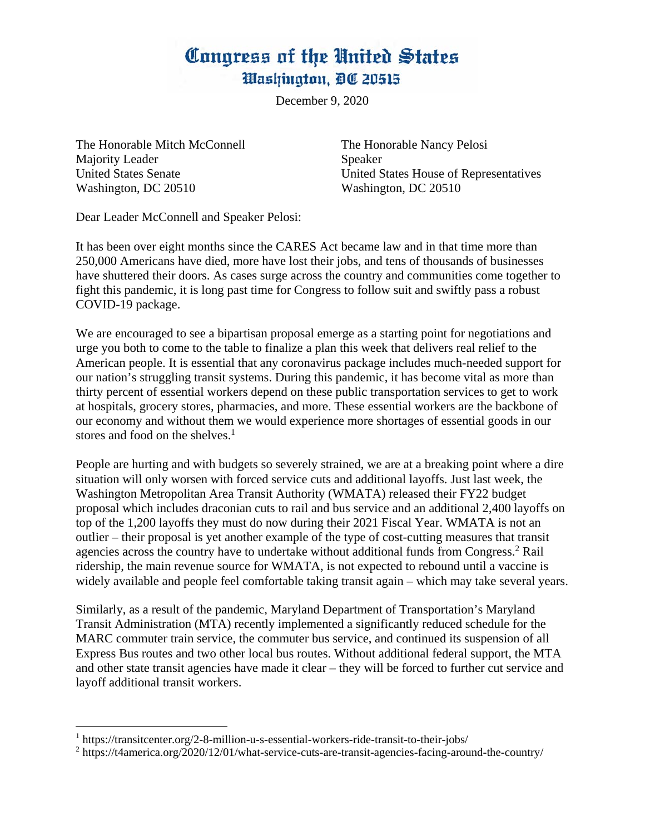## Congress of the United States *Mashington, DC 20515*

December 9, 2020

The Honorable Mitch McConnell The Honorable Nancy Pelosi Majority Leader Speaker Washington, DC 20510 Washington, DC 20510

United States Senate United States House of Representatives

Dear Leader McConnell and Speaker Pelosi:

It has been over eight months since the CARES Act became law and in that time more than 250,000 Americans have died, more have lost their jobs, and tens of thousands of businesses have shuttered their doors. As cases surge across the country and communities come together to fight this pandemic, it is long past time for Congress to follow suit and swiftly pass a robust COVID-19 package.

We are encouraged to see a bipartisan proposal emerge as a starting point for negotiations and urge you both to come to the table to finalize a plan this week that delivers real relief to the American people. It is essential that any coronavirus package includes much-needed support for our nation's struggling transit systems. During this pandemic, it has become vital as more than thirty percent of essential workers depend on these public transportation services to get to work at hospitals, grocery stores, pharmacies, and more. These essential workers are the backbone of our economy and without them we would experience more shortages of essential goods in our stores and food on the shelves.<sup>1</sup>

People are hurting and with budgets so severely strained, we are at a breaking point where a dire situation will only worsen with forced service cuts and additional layoffs. Just last week, the Washington Metropolitan Area Transit Authority (WMATA) released their FY22 budget proposal which includes draconian cuts to rail and bus service and an additional 2,400 layoffs on top of the 1,200 layoffs they must do now during their 2021 Fiscal Year. WMATA is not an outlier – their proposal is yet another example of the type of cost-cutting measures that transit agencies across the country have to undertake without additional funds from Congress.<sup>2</sup> Rail ridership, the main revenue source for WMATA, is not expected to rebound until a vaccine is widely available and people feel comfortable taking transit again – which may take several years.

Similarly, as a result of the pandemic, Maryland Department of Transportation's Maryland Transit Administration (MTA) recently implemented a significantly reduced schedule for the MARC commuter train service, the commuter bus service, and continued its suspension of all Express Bus routes and two other local bus routes. Without additional federal support, the MTA and other state transit agencies have made it clear – they will be forced to further cut service and layoff additional transit workers.

<sup>&</sup>lt;sup>1</sup> https://transitcenter.org/2-8-million-u-s-essential-workers-ride-transit-to-their-jobs/

 $2 \text{ https://t4america.org/2020/12/01/what-service-cuts-are-transit-agencies-facing-around-the-country/}$